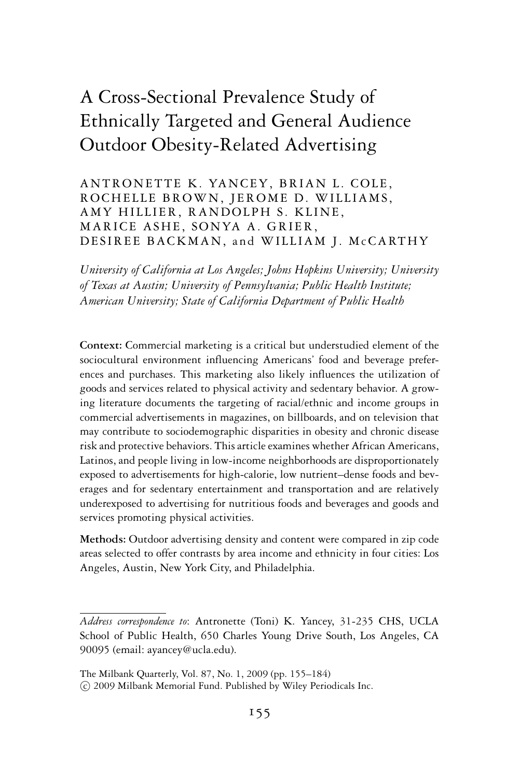# A Cross-Sectional Prevalence Study of Ethnically Targeted and General Audience Outdoor Obesity-Related Advertising

ANTRONETTE K. YANCEY, BRIAN L. COLE, ROCHELLE BROWN, JEROME D. WILLIAMS, AMY HILLIER, RANDOLPH S. KLINE, MARICE ASHE, SONYA A. GRIER, DESIREE BACKMAN, and WILLIAM J. McCARTHY

*University of California at Los Angeles; Johns Hopkins University; University of Texas at Austin; University of Pennsylvania; Public Health Institute; American University; State of California Department of Public Health*

**Context:** Commercial marketing is a critical but understudied element of the sociocultural environment influencing Americans' food and beverage preferences and purchases. This marketing also likely influences the utilization of goods and services related to physical activity and sedentary behavior. A growing literature documents the targeting of racial/ethnic and income groups in commercial advertisements in magazines, on billboards, and on television that may contribute to sociodemographic disparities in obesity and chronic disease risk and protective behaviors. This article examines whether African Americans, Latinos, and people living in low-income neighborhoods are disproportionately exposed to advertisements for high-calorie, low nutrient–dense foods and beverages and for sedentary entertainment and transportation and are relatively underexposed to advertising for nutritious foods and beverages and goods and services promoting physical activities.

**Methods:** Outdoor advertising density and content were compared in zip code areas selected to offer contrasts by area income and ethnicity in four cities: Los Angeles, Austin, New York City, and Philadelphia.

*Address correspondence to*: Antronette (Toni) K. Yancey, 31-235 CHS, UCLA School of Public Health, 650 Charles Young Drive South, Los Angeles, CA 90095 (email: ayancey@ucla.edu).

The Milbank Quarterly, Vol. 87, No. 1, 2009 (pp. 155–184) -c 2009 Milbank Memorial Fund. Published by Wiley Periodicals Inc.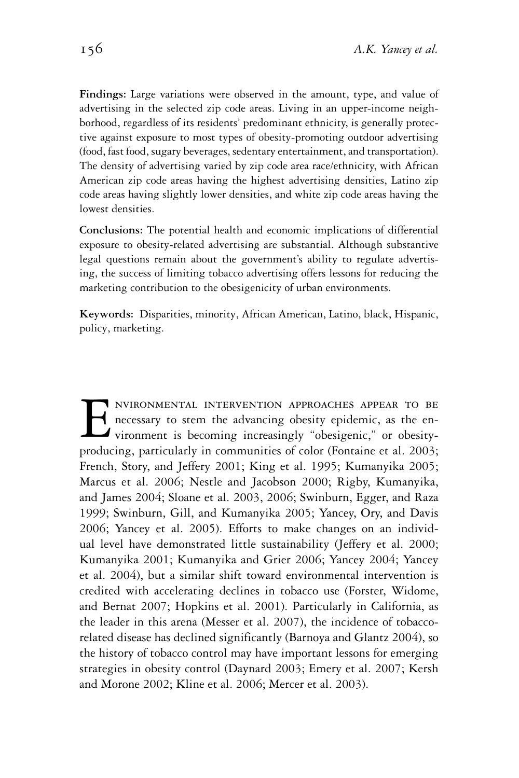**Findings:** Large variations were observed in the amount, type, and value of advertising in the selected zip code areas. Living in an upper-income neighborhood, regardless of its residents' predominant ethnicity, is generally protective against exposure to most types of obesity-promoting outdoor advertising (food, fast food, sugary beverages, sedentary entertainment, and transportation). The density of advertising varied by zip code area race/ethnicity, with African American zip code areas having the highest advertising densities, Latino zip code areas having slightly lower densities, and white zip code areas having the lowest densities.

**Conclusions:** The potential health and economic implications of differential exposure to obesity-related advertising are substantial. Although substantive legal questions remain about the government's ability to regulate advertising, the success of limiting tobacco advertising offers lessons for reducing the marketing contribution to the obesigenicity of urban environments.

**Keywords:** Disparities, minority, African American, Latino, black, Hispanic, policy, marketing.

ENVIRONMENTAL INTERVENTION APPROACHES APPEAR TO BE<br>necessary to stem the advancing obesity epidemic, as the en-<br>vironment is becoming increasingly "obesigenic," or obesity-<br>producing particularly in communities of color (F necessary to stem the advancing obesity epidemic, as the environment is becoming increasingly "obesigenic," or obesityproducing, particularly in communities of color (Fontaine et al. 2003; French, Story, and Jeffery 2001; King et al. 1995; Kumanyika 2005; Marcus et al. 2006; Nestle and Jacobson 2000; Rigby, Kumanyika, and James 2004; Sloane et al. 2003, 2006; Swinburn, Egger, and Raza 1999; Swinburn, Gill, and Kumanyika 2005; Yancey, Ory, and Davis 2006; Yancey et al. 2005). Efforts to make changes on an individual level have demonstrated little sustainability (Jeffery et al. 2000; Kumanyika 2001; Kumanyika and Grier 2006; Yancey 2004; Yancey et al. 2004), but a similar shift toward environmental intervention is credited with accelerating declines in tobacco use (Forster, Widome, and Bernat 2007; Hopkins et al. 2001). Particularly in California, as the leader in this arena (Messer et al. 2007), the incidence of tobaccorelated disease has declined significantly (Barnoya and Glantz 2004), so the history of tobacco control may have important lessons for emerging strategies in obesity control (Daynard 2003; Emery et al. 2007; Kersh and Morone 2002; Kline et al. 2006; Mercer et al. 2003).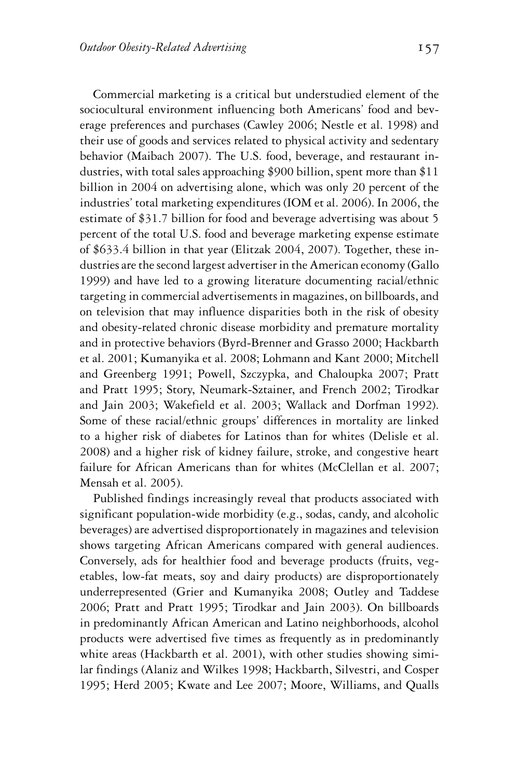Commercial marketing is a critical but understudied element of the sociocultural environment influencing both Americans' food and beverage preferences and purchases (Cawley 2006; Nestle et al. 1998) and their use of goods and services related to physical activity and sedentary behavior (Maibach 2007). The U.S. food, beverage, and restaurant industries, with total sales approaching \$900 billion, spent more than \$11 billion in 2004 on advertising alone, which was only 20 percent of the industries' total marketing expenditures (IOM et al. 2006). In 2006, the estimate of \$31.7 billion for food and beverage advertising was about 5 percent of the total U.S. food and beverage marketing expense estimate of \$633.4 billion in that year (Elitzak 2004, 2007). Together, these industries are the second largest advertiser in the American economy (Gallo 1999) and have led to a growing literature documenting racial/ethnic targeting in commercial advertisements in magazines, on billboards, and on television that may influence disparities both in the risk of obesity and obesity-related chronic disease morbidity and premature mortality and in protective behaviors (Byrd-Brenner and Grasso 2000; Hackbarth et al. 2001; Kumanyika et al. 2008; Lohmann and Kant 2000; Mitchell and Greenberg 1991; Powell, Szczypka, and Chaloupka 2007; Pratt and Pratt 1995; Story, Neumark-Sztainer, and French 2002; Tirodkar and Jain 2003; Wakefield et al. 2003; Wallack and Dorfman 1992). Some of these racial/ethnic groups' differences in mortality are linked to a higher risk of diabetes for Latinos than for whites (Delisle et al. 2008) and a higher risk of kidney failure, stroke, and congestive heart failure for African Americans than for whites (McClellan et al. 2007; Mensah et al. 2005).

Published findings increasingly reveal that products associated with significant population-wide morbidity (e.g., sodas, candy, and alcoholic beverages) are advertised disproportionately in magazines and television shows targeting African Americans compared with general audiences. Conversely, ads for healthier food and beverage products (fruits, vegetables, low-fat meats, soy and dairy products) are disproportionately underrepresented (Grier and Kumanyika 2008; Outley and Taddese 2006; Pratt and Pratt 1995; Tirodkar and Jain 2003). On billboards in predominantly African American and Latino neighborhoods, alcohol products were advertised five times as frequently as in predominantly white areas (Hackbarth et al. 2001), with other studies showing similar findings (Alaniz and Wilkes 1998; Hackbarth, Silvestri, and Cosper 1995; Herd 2005; Kwate and Lee 2007; Moore, Williams, and Qualls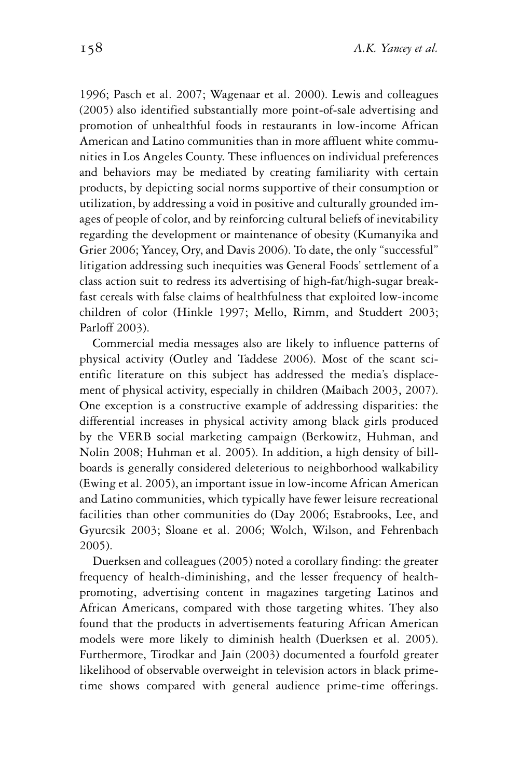1996; Pasch et al. 2007; Wagenaar et al. 2000). Lewis and colleagues (2005) also identified substantially more point-of-sale advertising and promotion of unhealthful foods in restaurants in low-income African American and Latino communities than in more affluent white communities in Los Angeles County. These influences on individual preferences and behaviors may be mediated by creating familiarity with certain products, by depicting social norms supportive of their consumption or utilization, by addressing a void in positive and culturally grounded images of people of color, and by reinforcing cultural beliefs of inevitability regarding the development or maintenance of obesity (Kumanyika and Grier 2006; Yancey, Ory, and Davis 2006). To date, the only "successful" litigation addressing such inequities was General Foods' settlement of a class action suit to redress its advertising of high-fat/high-sugar breakfast cereals with false claims of healthfulness that exploited low-income children of color (Hinkle 1997; Mello, Rimm, and Studdert 2003; Parloff 2003).

Commercial media messages also are likely to influence patterns of physical activity (Outley and Taddese 2006). Most of the scant scientific literature on this subject has addressed the media's displacement of physical activity, especially in children (Maibach 2003, 2007). One exception is a constructive example of addressing disparities: the differential increases in physical activity among black girls produced by the VERB social marketing campaign (Berkowitz, Huhman, and Nolin 2008; Huhman et al. 2005). In addition, a high density of billboards is generally considered deleterious to neighborhood walkability (Ewing et al. 2005), an important issue in low-income African American and Latino communities, which typically have fewer leisure recreational facilities than other communities do (Day 2006; Estabrooks, Lee, and Gyurcsik 2003; Sloane et al. 2006; Wolch, Wilson, and Fehrenbach 2005).

Duerksen and colleagues (2005) noted a corollary finding: the greater frequency of health-diminishing, and the lesser frequency of healthpromoting, advertising content in magazines targeting Latinos and African Americans, compared with those targeting whites. They also found that the products in advertisements featuring African American models were more likely to diminish health (Duerksen et al. 2005). Furthermore, Tirodkar and Jain (2003) documented a fourfold greater likelihood of observable overweight in television actors in black primetime shows compared with general audience prime-time offerings.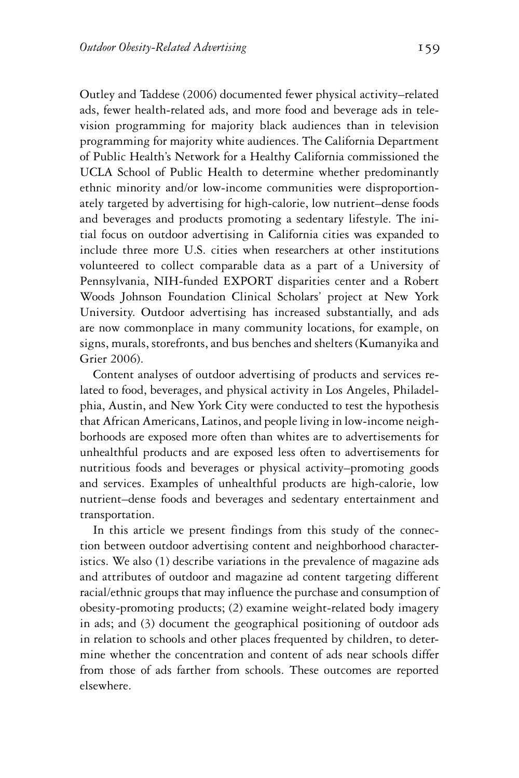Outley and Taddese (2006) documented fewer physical activity–related ads, fewer health-related ads, and more food and beverage ads in television programming for majority black audiences than in television programming for majority white audiences. The California Department of Public Health's Network for a Healthy California commissioned the UCLA School of Public Health to determine whether predominantly ethnic minority and/or low-income communities were disproportionately targeted by advertising for high-calorie, low nutrient–dense foods and beverages and products promoting a sedentary lifestyle. The initial focus on outdoor advertising in California cities was expanded to include three more U.S. cities when researchers at other institutions volunteered to collect comparable data as a part of a University of Pennsylvania, NIH-funded EXPORT disparities center and a Robert Woods Johnson Foundation Clinical Scholars' project at New York University. Outdoor advertising has increased substantially, and ads are now commonplace in many community locations, for example, on signs, murals, storefronts, and bus benches and shelters (Kumanyika and Grier 2006).

Content analyses of outdoor advertising of products and services related to food, beverages, and physical activity in Los Angeles, Philadelphia, Austin, and New York City were conducted to test the hypothesis that African Americans, Latinos, and people living in low-income neighborhoods are exposed more often than whites are to advertisements for unhealthful products and are exposed less often to advertisements for nutritious foods and beverages or physical activity–promoting goods and services. Examples of unhealthful products are high-calorie, low nutrient–dense foods and beverages and sedentary entertainment and transportation.

In this article we present findings from this study of the connection between outdoor advertising content and neighborhood characteristics. We also (1) describe variations in the prevalence of magazine ads and attributes of outdoor and magazine ad content targeting different racial/ethnic groups that may influence the purchase and consumption of obesity-promoting products; (2) examine weight-related body imagery in ads; and (3) document the geographical positioning of outdoor ads in relation to schools and other places frequented by children, to determine whether the concentration and content of ads near schools differ from those of ads farther from schools. These outcomes are reported elsewhere.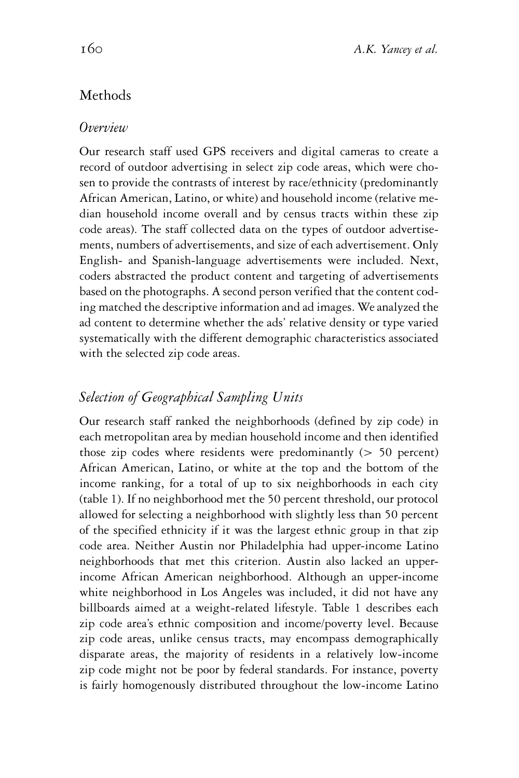# Methods

#### *Overview*

Our research staff used GPS receivers and digital cameras to create a record of outdoor advertising in select zip code areas, which were chosen to provide the contrasts of interest by race/ethnicity (predominantly African American, Latino, or white) and household income (relative median household income overall and by census tracts within these zip code areas). The staff collected data on the types of outdoor advertisements, numbers of advertisements, and size of each advertisement. Only English- and Spanish-language advertisements were included. Next, coders abstracted the product content and targeting of advertisements based on the photographs. A second person verified that the content coding matched the descriptive information and ad images. We analyzed the ad content to determine whether the ads' relative density or type varied systematically with the different demographic characteristics associated with the selected zip code areas.

## *Selection of Geographical Sampling Units*

Our research staff ranked the neighborhoods (defined by zip code) in each metropolitan area by median household income and then identified those zip codes where residents were predominantly (> 50 percent) African American, Latino, or white at the top and the bottom of the income ranking, for a total of up to six neighborhoods in each city (table 1). If no neighborhood met the 50 percent threshold, our protocol allowed for selecting a neighborhood with slightly less than 50 percent of the specified ethnicity if it was the largest ethnic group in that zip code area. Neither Austin nor Philadelphia had upper-income Latino neighborhoods that met this criterion. Austin also lacked an upperincome African American neighborhood. Although an upper-income white neighborhood in Los Angeles was included, it did not have any billboards aimed at a weight-related lifestyle. Table 1 describes each zip code area's ethnic composition and income/poverty level. Because zip code areas, unlike census tracts, may encompass demographically disparate areas, the majority of residents in a relatively low-income zip code might not be poor by federal standards. For instance, poverty is fairly homogenously distributed throughout the low-income Latino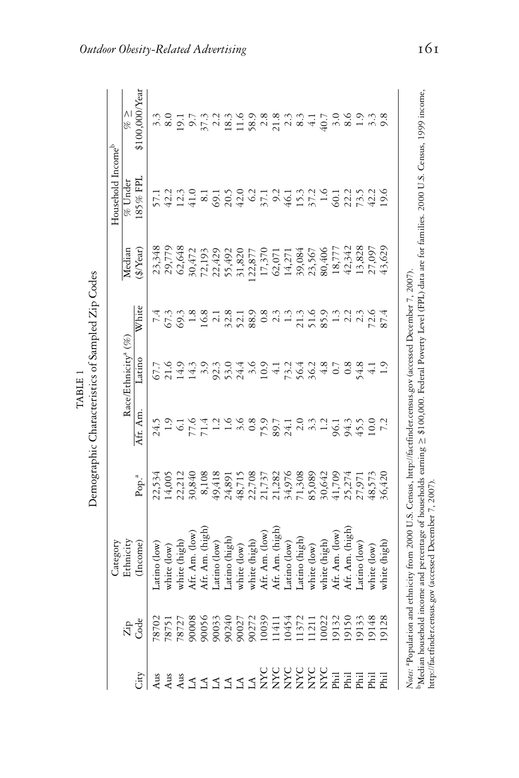| É<br>i<br>sampled',<br>،<br>،<br>.<br>بر<br>haracteristics of<br>TARIE 1<br>emnorranhic |
|-----------------------------------------------------------------------------------------|
|-----------------------------------------------------------------------------------------|

|                               | $\begin{array}{c} \% \geq \ 100.000$ Year |                       |             |                  |  |                                                                                                                                                                                                                                                            |  |  |                |             |              |             |                                                   |  |             |             |              |  |
|-------------------------------|-------------------------------------------|-----------------------|-------------|------------------|--|------------------------------------------------------------------------------------------------------------------------------------------------------------------------------------------------------------------------------------------------------------|--|--|----------------|-------------|--------------|-------------|---------------------------------------------------|--|-------------|-------------|--------------|--|
| Household Income <sup>b</sup> | % Under                                   | 85% FPI               |             |                  |  |                                                                                                                                                                                                                                                            |  |  |                |             |              |             |                                                   |  |             |             |              |  |
|                               | Median                                    | $(\frac{4}{9}$ /Year) |             |                  |  | $\begin{array}{l} 23,348,\\ 23,72,84,\\ 25,77,84,\\ 26,648,\\ 27,72,9,\\ 28,72,24,\\ 29,77,28,\\ 20,77,27,\\ 21,77,28,\\ 23,77,27,\\ 24,77,28,\\ 25,77,27,\\ 26,77,27,\\ 27,77,27,\\ 28,77,27,\\ 29,77,27,\\ 20,77,27,\\ 20,77,27,\\ 20,77,27,\\ 20,77,27$ |  |  |                |             |              |             |                                                   |  |             |             |              |  |
|                               |                                           | White                 |             |                  |  |                                                                                                                                                                                                                                                            |  |  |                |             |              |             |                                                   |  |             |             |              |  |
| Category                      | Race/Ethnicity <sup>a</sup> (%)           | atino                 |             |                  |  |                                                                                                                                                                                                                                                            |  |  |                |             |              |             |                                                   |  |             |             |              |  |
|                               |                                           | Afr. Am               |             |                  |  | ムロークトロート 8メストールのみもいった しゃけい 1 1 1 1 1 1 1 1 1 2 8 4 1 1 1 1 2 2 4 5 1 1                                                                                                                                                                                     |  |  |                |             |              |             |                                                   |  |             |             |              |  |
|                               |                                           | Pop. <sup>a</sup>     |             |                  |  |                                                                                                                                                                                                                                                            |  |  |                |             |              |             |                                                   |  |             |             |              |  |
|                               | Ethnicity                                 | Income)               | atino (low) | white (low)      |  | white (high)<br>Afr. Am. (low)<br>Afr. Am. (high)<br>Afr. Am. (high)<br>Latino (high)<br>Unite (low)<br>white (high)<br>white (high)<br>white (high)                                                                                                       |  |  | Afr. Am. (high | atino (low) | atino (high) | vhite (low) | white (high)<br>Afr. Am. (low)<br>Afr. Am. (high) |  | atino (low) | vhite (low) | vhite (high) |  |
|                               | ដិក្តី                                    |                       |             |                  |  |                                                                                                                                                                                                                                                            |  |  |                |             |              |             |                                                   |  |             |             |              |  |
|                               |                                           | χity                  | Aus         | $\lim_{h \to 0}$ |  | <b>SERVAL SERVAL SERVAL SERVAL SERVAL SERVADO DE SERVADO DE SERVADO DE SERVADO DE SERVADO DE SERVADO DE SERVADO D</b><br>SE EN ENTRETA EL SERVADO DE SERVADO DE SERVADO DE SERVADO DE SERVADO DE SERVADO DE SERVADO DE SERVADO DE SERV                     |  |  |                |             |              |             |                                                   |  |             |             |              |  |

*Notes:* <sup>a</sup>Population and ethnicity from 2000 U.S. Census, http://factfinder.census.gov (accessed December 7, 2007).<br><sup>b</sup>Median household income and percentage of households earning ≥ \$100,000. Federal Poverty Level (FPL)

Nates: <sup>a</sup>Population and ethnicity from 2000 U.S. Census, http://factfinder.census.gov (accessed December 7, 2007).

http://factfinder.census.gov (accessed December 7, 2007).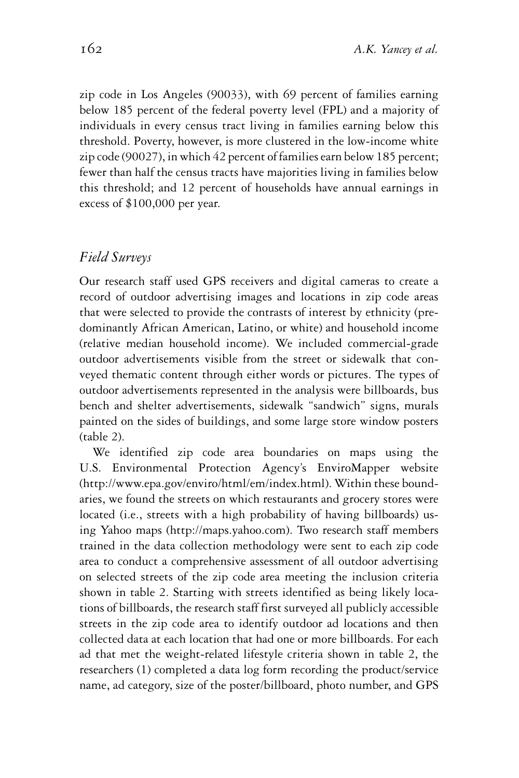zip code in Los Angeles (90033), with 69 percent of families earning below 185 percent of the federal poverty level (FPL) and a majority of individuals in every census tract living in families earning below this threshold. Poverty, however, is more clustered in the low-income white zip code (90027), in which 42 percent of families earn below 185 percent; fewer than half the census tracts have majorities living in families below this threshold; and 12 percent of households have annual earnings in excess of \$100,000 per year.

#### *Field Surveys*

Our research staff used GPS receivers and digital cameras to create a record of outdoor advertising images and locations in zip code areas that were selected to provide the contrasts of interest by ethnicity (predominantly African American, Latino, or white) and household income (relative median household income). We included commercial-grade outdoor advertisements visible from the street or sidewalk that conveyed thematic content through either words or pictures. The types of outdoor advertisements represented in the analysis were billboards, bus bench and shelter advertisements, sidewalk "sandwich" signs, murals painted on the sides of buildings, and some large store window posters (table 2).

We identified zip code area boundaries on maps using the U.S. Environmental Protection Agency's EnviroMapper website (http://www.epa.gov/enviro/html/em/index.html). Within these boundaries, we found the streets on which restaurants and grocery stores were located (i.e., streets with a high probability of having billboards) using Yahoo maps (http://maps.yahoo.com). Two research staff members trained in the data collection methodology were sent to each zip code area to conduct a comprehensive assessment of all outdoor advertising on selected streets of the zip code area meeting the inclusion criteria shown in table 2. Starting with streets identified as being likely locations of billboards, the research staff first surveyed all publicly accessible streets in the zip code area to identify outdoor ad locations and then collected data at each location that had one or more billboards. For each ad that met the weight-related lifestyle criteria shown in table 2, the researchers (1) completed a data log form recording the product/service name, ad category, size of the poster/billboard, photo number, and GPS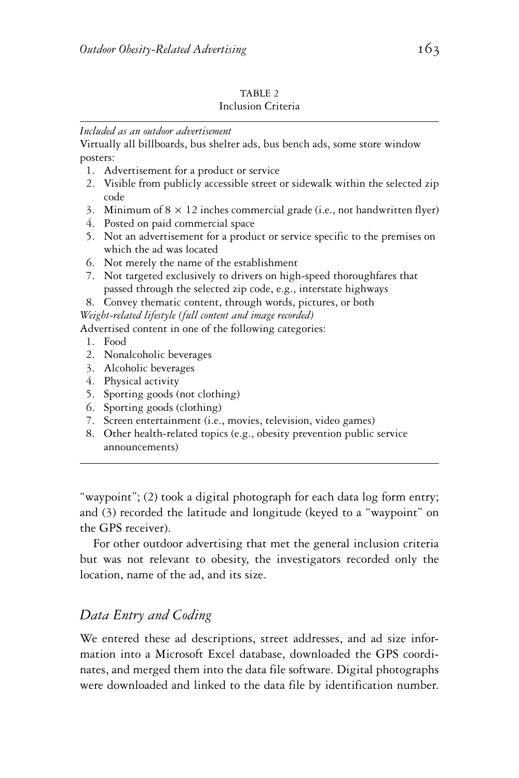#### TABLE 2 Inclusion Criteria

#### *Included as an outdoor advertisement*

Virtually all billboards, bus shelter ads, bus bench ads, some store window posters:

- 1. Advertisement for a product or service
- 2. Visible from publicly accessible street or sidewalk within the selected zip code
- 3. Minimum of  $8 \times 12$  inches commercial grade (i.e., not handwritten flyer)
- 4. Posted on paid commercial space
- 5. Not an advertisement for a product or service specific to the premises on which the ad was located
- 6. Not merely the name of the establishment
- 7. Not targeted exclusively to drivers on high-speed thoroughfares that passed through the selected zip code, e.g., interstate highways
- 8. Convey thematic content, through words, pictures, or both

*Weight-related lifestyle (full content and image recorded)*

Advertised content in one of the following categories:

- 1. Food
- 2. Nonalcoholic beverages
- 3. Alcoholic beverages
- 4. Physical activity
- 5. Sporting goods (not clothing)
- 6. Sporting goods (clothing)
- 7. Screen entertainment (i.e., movies, television, video games)
- 8. Other health-related topics (e.g., obesity prevention public service announcements)

"waypoint"; (2) took a digital photograph for each data log form entry; and (3) recorded the latitude and longitude (keyed to a "waypoint" on the GPS receiver).

For other outdoor advertising that met the general inclusion criteria but was not relevant to obesity, the investigators recorded only the location, name of the ad, and its size.

# *Data Entry and Coding*

We entered these ad descriptions, street addresses, and ad size information into a Microsoft Excel database, downloaded the GPS coordinates, and merged them into the data file software. Digital photographs were downloaded and linked to the data file by identification number.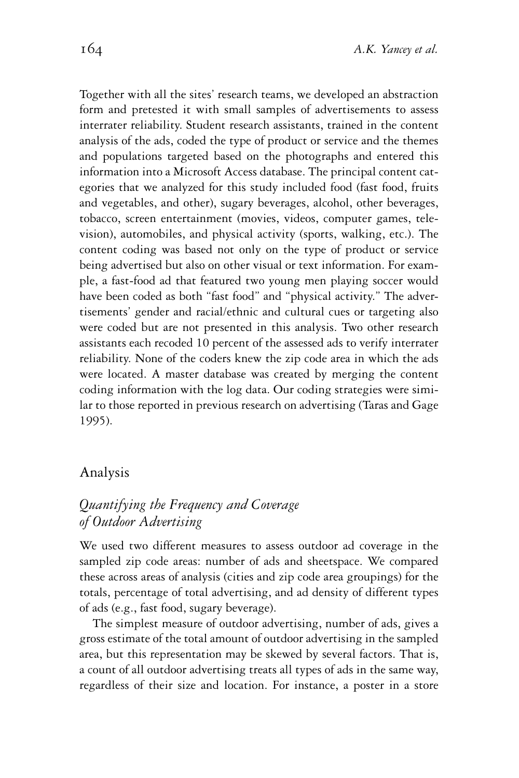Together with all the sites' research teams, we developed an abstraction form and pretested it with small samples of advertisements to assess interrater reliability. Student research assistants, trained in the content analysis of the ads, coded the type of product or service and the themes and populations targeted based on the photographs and entered this information into a Microsoft Access database. The principal content categories that we analyzed for this study included food (fast food, fruits and vegetables, and other), sugary beverages, alcohol, other beverages, tobacco, screen entertainment (movies, videos, computer games, television), automobiles, and physical activity (sports, walking, etc.). The content coding was based not only on the type of product or service being advertised but also on other visual or text information. For example, a fast-food ad that featured two young men playing soccer would have been coded as both "fast food" and "physical activity." The advertisements' gender and racial/ethnic and cultural cues or targeting also were coded but are not presented in this analysis. Two other research assistants each recoded 10 percent of the assessed ads to verify interrater reliability. None of the coders knew the zip code area in which the ads were located. A master database was created by merging the content coding information with the log data. Our coding strategies were similar to those reported in previous research on advertising (Taras and Gage 1995).

#### Analysis

# *Quantifying the Frequency and Coverage of Outdoor Advertising*

We used two different measures to assess outdoor ad coverage in the sampled zip code areas: number of ads and sheetspace. We compared these across areas of analysis (cities and zip code area groupings) for the totals, percentage of total advertising, and ad density of different types of ads (e.g., fast food, sugary beverage).

The simplest measure of outdoor advertising, number of ads, gives a gross estimate of the total amount of outdoor advertising in the sampled area, but this representation may be skewed by several factors. That is, a count of all outdoor advertising treats all types of ads in the same way, regardless of their size and location. For instance, a poster in a store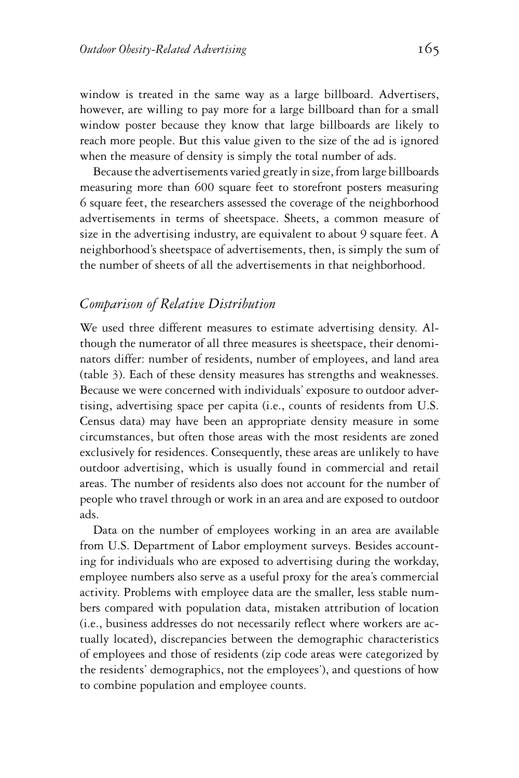window is treated in the same way as a large billboard. Advertisers, however, are willing to pay more for a large billboard than for a small window poster because they know that large billboards are likely to reach more people. But this value given to the size of the ad is ignored when the measure of density is simply the total number of ads.

Because the advertisements varied greatly in size, from large billboards measuring more than 600 square feet to storefront posters measuring 6 square feet, the researchers assessed the coverage of the neighborhood advertisements in terms of sheetspace. Sheets, a common measure of size in the advertising industry, are equivalent to about 9 square feet. A neighborhood's sheetspace of advertisements, then, is simply the sum of the number of sheets of all the advertisements in that neighborhood.

### *Comparison of Relative Distribution*

We used three different measures to estimate advertising density. Although the numerator of all three measures is sheetspace, their denominators differ: number of residents, number of employees, and land area (table 3). Each of these density measures has strengths and weaknesses. Because we were concerned with individuals' exposure to outdoor advertising, advertising space per capita (i.e., counts of residents from U.S. Census data) may have been an appropriate density measure in some circumstances, but often those areas with the most residents are zoned exclusively for residences. Consequently, these areas are unlikely to have outdoor advertising, which is usually found in commercial and retail areas. The number of residents also does not account for the number of people who travel through or work in an area and are exposed to outdoor ads.

Data on the number of employees working in an area are available from U.S. Department of Labor employment surveys. Besides accounting for individuals who are exposed to advertising during the workday, employee numbers also serve as a useful proxy for the area's commercial activity. Problems with employee data are the smaller, less stable numbers compared with population data, mistaken attribution of location (i.e., business addresses do not necessarily reflect where workers are actually located), discrepancies between the demographic characteristics of employees and those of residents (zip code areas were categorized by the residents' demographics, not the employees'), and questions of how to combine population and employee counts.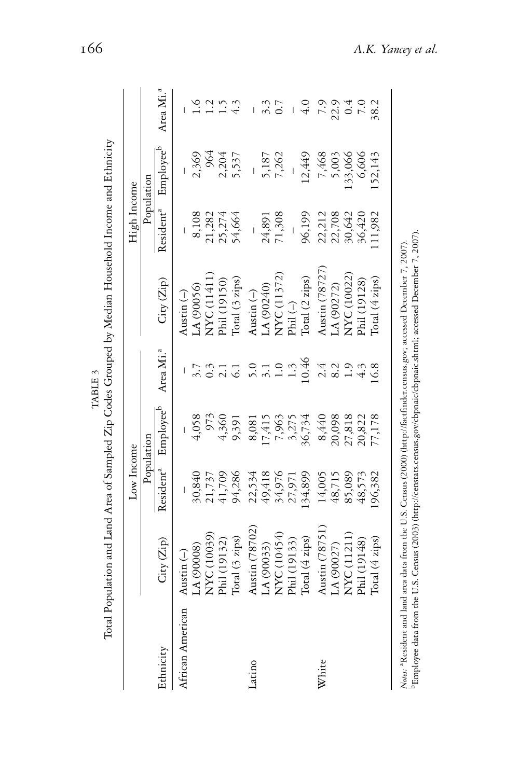|                  |                                          | Low Income            |                       |                       |                      | High Income           |                       |                       |
|------------------|------------------------------------------|-----------------------|-----------------------|-----------------------|----------------------|-----------------------|-----------------------|-----------------------|
|                  |                                          |                       | Population            |                       |                      |                       | Population            |                       |
| Ethnicity        | $\mathrm{City}\left(\mathrm{Zip}\right)$ | Resident <sup>a</sup> | Employee <sup>b</sup> | Area Mi. <sup>a</sup> | City(Zip)            | Resident <sup>a</sup> | Employee <sup>b</sup> | Area Mi. <sup>a</sup> |
| African American | Austin $(-)$                             |                       |                       |                       | Austin $(-)$         |                       |                       |                       |
|                  | (A) (90008)                              | 30,840                | 4,058                 |                       | LA(90056)            | 8,108                 | 2,369                 | $\frac{6}{1}$         |
|                  | NYC (10039)                              | 21,737                | 973                   |                       | NYC (11411)          | 21,282                | 964                   | $\overline{12}$       |
|                  | Phil (19132)                             | 41,709                | 4,360                 |                       | Phil (19150)         | 25,274                | 2,204                 | $\ddot{.}$            |
|                  | Total (3 zips)                           | 94,286                | 9,391                 |                       | Total (3 zips)       | 54,664                | 5,537                 |                       |
| Latino           | Austin (78702)                           | 22,534                | 8,081                 | 5.0                   | Austin $(-)$         |                       |                       |                       |
|                  | LA (90033)                               | 49,418                | 17,415                | $\overline{3}$ .1     | (A(90240)            | 24,891                | 5,187                 | 3.3                   |
|                  | NYC (10454)                              | 34,976                | 7,963                 | $\overline{1.0}$      | NYC(11372)           | 71,308                | 7,262                 | 0.7                   |
|                  | Phil (19133)                             | 27,971                | 3,275                 | $1.\overline{3}$      | Phil $(\rightarrow)$ |                       |                       |                       |
|                  | Total (4 zips)                           | 34,899                | 36,734                | 10.46                 | Total (2 zips)       | 96,199                | 12,449                | $\frac{0}{4}$         |
| White            | Austin (78751)                           | 14,005                | 8,440                 | 2.4                   | Austin (78727)       | 22,212                | 7,468                 | 5.7                   |
|                  | LA (90027)                               | 48,715                | 20,098                | 8.2                   | AA(90272)            | 22,708                | 5,003                 | 22.9                  |
|                  | NYC(11211)                               | 85,089                | 27,818                |                       | NYC (10022)          | 30,642                | 133,066               | 0.4                   |
|                  | Phil (19148)                             | 48,573                | 20,822                |                       | Phil (19128)         | 36,420                | 6,606                 | 0.7                   |
|                  | Total (4 zips)                           | .96,382               | 77,178                | 16.8                  | Total (4 zips)       | 11,982                | 152,143               | 38.2                  |

TABLE 3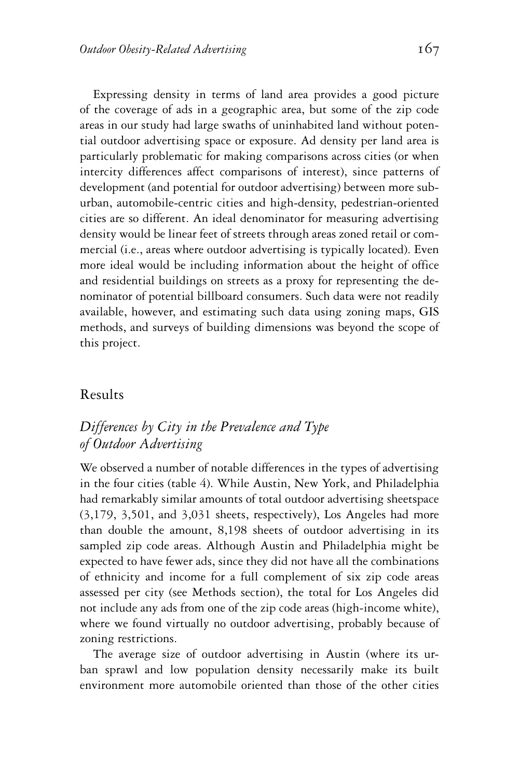Expressing density in terms of land area provides a good picture of the coverage of ads in a geographic area, but some of the zip code areas in our study had large swaths of uninhabited land without potential outdoor advertising space or exposure. Ad density per land area is particularly problematic for making comparisons across cities (or when intercity differences affect comparisons of interest), since patterns of development (and potential for outdoor advertising) between more suburban, automobile-centric cities and high-density, pedestrian-oriented cities are so different. An ideal denominator for measuring advertising density would be linear feet of streets through areas zoned retail or commercial (i.e., areas where outdoor advertising is typically located). Even more ideal would be including information about the height of office and residential buildings on streets as a proxy for representing the denominator of potential billboard consumers. Such data were not readily available, however, and estimating such data using zoning maps, GIS methods, and surveys of building dimensions was beyond the scope of this project.

#### Results

# *Differences by City in the Prevalence and Type of Outdoor Advertising*

We observed a number of notable differences in the types of advertising in the four cities (table 4). While Austin, New York, and Philadelphia had remarkably similar amounts of total outdoor advertising sheetspace (3,179, 3,501, and 3,031 sheets, respectively), Los Angeles had more than double the amount, 8,198 sheets of outdoor advertising in its sampled zip code areas. Although Austin and Philadelphia might be expected to have fewer ads, since they did not have all the combinations of ethnicity and income for a full complement of six zip code areas assessed per city (see Methods section), the total for Los Angeles did not include any ads from one of the zip code areas (high-income white), where we found virtually no outdoor advertising, probably because of zoning restrictions.

The average size of outdoor advertising in Austin (where its urban sprawl and low population density necessarily make its built environment more automobile oriented than those of the other cities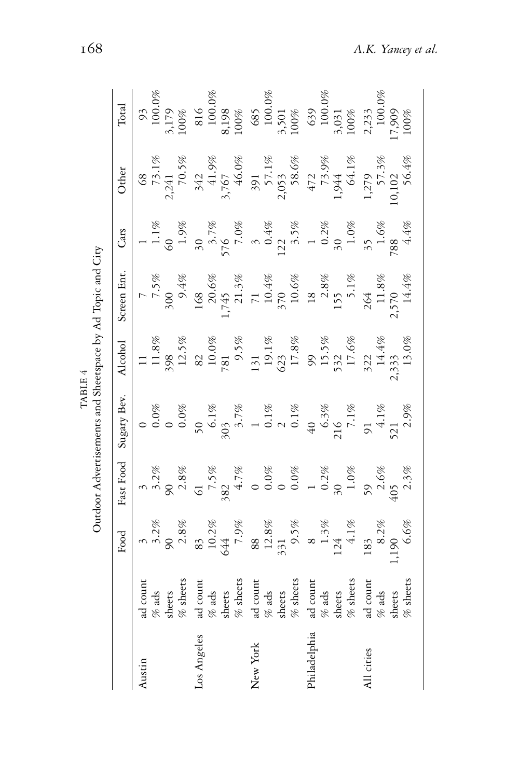|                   |                                                                                                                                                                                                                                  |                                                                                                                                                                                                                                                                                                                                                       |           |            |                                                                                                                                                                                                                                                                       | Outdoor Advertisements and Sheetspace by Ad Topic and City                                                    |                                                                                                                                                                                                                                                                           |                                                                                                                                                                                                                                                                      |                                                                                                                                                                                                                                                                             |
|-------------------|----------------------------------------------------------------------------------------------------------------------------------------------------------------------------------------------------------------------------------|-------------------------------------------------------------------------------------------------------------------------------------------------------------------------------------------------------------------------------------------------------------------------------------------------------------------------------------------------------|-----------|------------|-----------------------------------------------------------------------------------------------------------------------------------------------------------------------------------------------------------------------------------------------------------------------|---------------------------------------------------------------------------------------------------------------|---------------------------------------------------------------------------------------------------------------------------------------------------------------------------------------------------------------------------------------------------------------------------|----------------------------------------------------------------------------------------------------------------------------------------------------------------------------------------------------------------------------------------------------------------------|-----------------------------------------------------------------------------------------------------------------------------------------------------------------------------------------------------------------------------------------------------------------------------|
|                   |                                                                                                                                                                                                                                  |                                                                                                                                                                                                                                                                                                                                                       | Fast Fooc | Sugary Bev | Alcohol                                                                                                                                                                                                                                                               | Screen Ent                                                                                                    | Cars                                                                                                                                                                                                                                                                      | Other                                                                                                                                                                                                                                                                |                                                                                                                                                                                                                                                                             |
| ustin             |                                                                                                                                                                                                                                  | $rac{Food}{3}$<br>3.2%<br>90.3%                                                                                                                                                                                                                                                                                                                       |           |            |                                                                                                                                                                                                                                                                       |                                                                                                               |                                                                                                                                                                                                                                                                           |                                                                                                                                                                                                                                                                      |                                                                                                                                                                                                                                                                             |
| Los Angele        |                                                                                                                                                                                                                                  |                                                                                                                                                                                                                                                                                                                                                       |           |            |                                                                                                                                                                                                                                                                       |                                                                                                               |                                                                                                                                                                                                                                                                           |                                                                                                                                                                                                                                                                      |                                                                                                                                                                                                                                                                             |
| ${\rm New\ York}$ |                                                                                                                                                                                                                                  |                                                                                                                                                                                                                                                                                                                                                       |           |            |                                                                                                                                                                                                                                                                       |                                                                                                               |                                                                                                                                                                                                                                                                           |                                                                                                                                                                                                                                                                      |                                                                                                                                                                                                                                                                             |
| Philadelph        | ad count<br>ads and set of a data set of a data set of a data set of a data set of a data set of a data set of a data set of a data set of a data set of a data set of a data set of a data set of a data set of a data set of a | $\begin{array}{r} 83\\ 10.2\%\\ 644\\ 7\cdot 9\%\\ 83\\ 12.8\%\\ 9\cdot 5\%\\ 1\cdot 31\\ 1\cdot 4\cdot 1\%\\ 1\cdot 4\cdot 1\%\\ 1\cdot 3\cdot 2\%\\ 1\cdot 3\cdot 3\%\\ 1\cdot 3\cdot 2\%\\ 1\cdot 3\cdot 3\cdot 2\%\\ 1\cdot 3\cdot 2\cdot 3\%\\ 1\cdot 3\cdot 3\cdot 2\cdot 3\%\\ 1\cdot 3\cdot 3\cdot 2\cdot 3\%\\ 1\cdot 3\cdot 3\cdot 2\cdot $ |           |            | $\begin{array}{cccc} 11.888\\ 13.888\\ 23.588\\ 24.82\\ 25.88\\ 26.82\\ 27.81\\ 28.88\\ 27.82\\ 28.88\\ 29.1\%\\ 20.00\\ 24.4\%\\ 25.5\%\\ 27.3\%\\ 28.5\%\\ 27.3\%\\ 28.5\%\\ 29.1\%\\ 21.3\%\\ 23.3\%\\ 24.4\%\\ 25.3\%\\ 27.3\%\\ 28.3\%\\ 29.1\%\\ 21.3\%\\ 22.3$ | 7,5%<br>300 9.4%<br>1,745 20.6%<br>1,745 71.3%<br>10.4%<br>10.6%<br>10.6%<br>11.8%<br>14.4%<br>2,570<br>2,570 | $\begin{array}{cccccc} 1 & 1.1\% & 0.9\% & 0.9\% & 0.9\% & 0.9\% & 0.9\% & 0.9\% & 0.4\% & 0.1\% & 0.3\% & 0.4\% & 0.3\% & 0.3\% & 0.3\% & 0.3\% & 0.3\% & 0.3\% & 0.3\% & 0.3\% & 0.3\% & 0.3\% & 0.3\% & 0.3\% & 0.3\% & 0.3\% & 0.3\% & 0.3\% & 0.3\% & 0.3\% & 0.3\%$ | $\begin{array}{r} 68\\ 73.1\%\\ 73.1\%\\ 741\\ 70.5\%\\ 3,767\\ 942\\ 941\\ 942\\ 7,1\%\\ 7,1\%\\ 8,6\%\\ 7,1\%\\ 944\\ 1,21\%\\ 64.1\%\\ 1,27\)\\ 96.4\%\\ 1,23\%\\ 1,27\)\\ 50.102\\ 2,64\%\\ 50.4\%\\ 50.4\%\\ 50.4\%\\ 50.4\%\\ 50.4\%\\ 50.4\%\\ 50.4\%\\ 50.4$ | $\begin{tabular}{c c} Total & Total & 93 & 100.0\% & 100.0\% & 100.0\% & 100.0\% & 100.0\% & 100.0\% & 100.0\% & 100.0\% & 100.0\% & 100.0\% & 100.0\% & 100.0\% & 100.0\% & 100.0\% & 100.0\% & 100.0\% & 100.0\% & 100.0\% & 100.0\% & 100.0\% & 100.0\% & 100.0\% & 100$ |
| All cities        |                                                                                                                                                                                                                                  |                                                                                                                                                                                                                                                                                                                                                       |           |            |                                                                                                                                                                                                                                                                       |                                                                                                               |                                                                                                                                                                                                                                                                           |                                                                                                                                                                                                                                                                      |                                                                                                                                                                                                                                                                             |

TABLE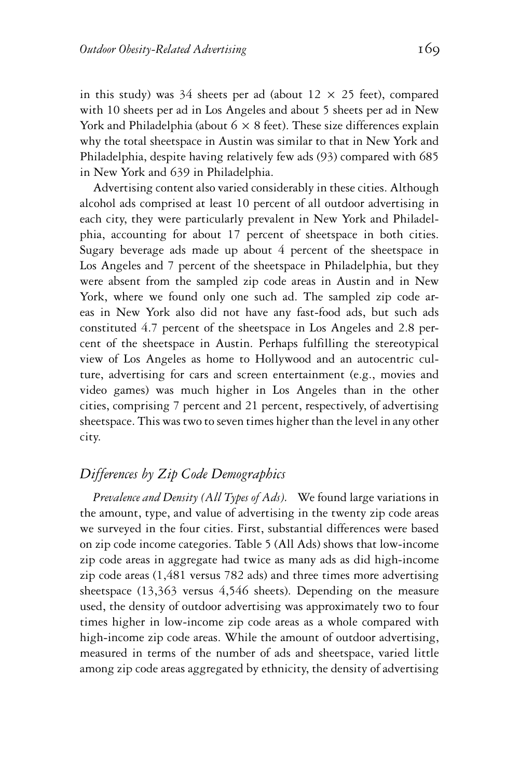in this study) was 34 sheets per ad (about  $12 \times 25$  feet), compared with 10 sheets per ad in Los Angeles and about 5 sheets per ad in New York and Philadelphia (about  $6 \times 8$  feet). These size differences explain why the total sheetspace in Austin was similar to that in New York and Philadelphia, despite having relatively few ads (93) compared with 685 in New York and 639 in Philadelphia.

Advertising content also varied considerably in these cities. Although alcohol ads comprised at least 10 percent of all outdoor advertising in each city, they were particularly prevalent in New York and Philadelphia, accounting for about 17 percent of sheetspace in both cities. Sugary beverage ads made up about 4 percent of the sheetspace in Los Angeles and 7 percent of the sheetspace in Philadelphia, but they were absent from the sampled zip code areas in Austin and in New York, where we found only one such ad. The sampled zip code areas in New York also did not have any fast-food ads, but such ads constituted 4.7 percent of the sheetspace in Los Angeles and 2.8 percent of the sheetspace in Austin. Perhaps fulfilling the stereotypical view of Los Angeles as home to Hollywood and an autocentric culture, advertising for cars and screen entertainment (e.g., movies and video games) was much higher in Los Angeles than in the other cities, comprising 7 percent and 21 percent, respectively, of advertising sheetspace. This was two to seven times higher than the level in any other city.

## *Differences by Zip Code Demographics*

*Prevalence and Density (All Types of Ads).* We found large variations in the amount, type, and value of advertising in the twenty zip code areas we surveyed in the four cities. First, substantial differences were based on zip code income categories. Table 5 (All Ads) shows that low-income zip code areas in aggregate had twice as many ads as did high-income zip code areas (1,481 versus 782 ads) and three times more advertising sheetspace (13,363 versus 4,546 sheets). Depending on the measure used, the density of outdoor advertising was approximately two to four times higher in low-income zip code areas as a whole compared with high-income zip code areas. While the amount of outdoor advertising, measured in terms of the number of ads and sheetspace, varied little among zip code areas aggregated by ethnicity, the density of advertising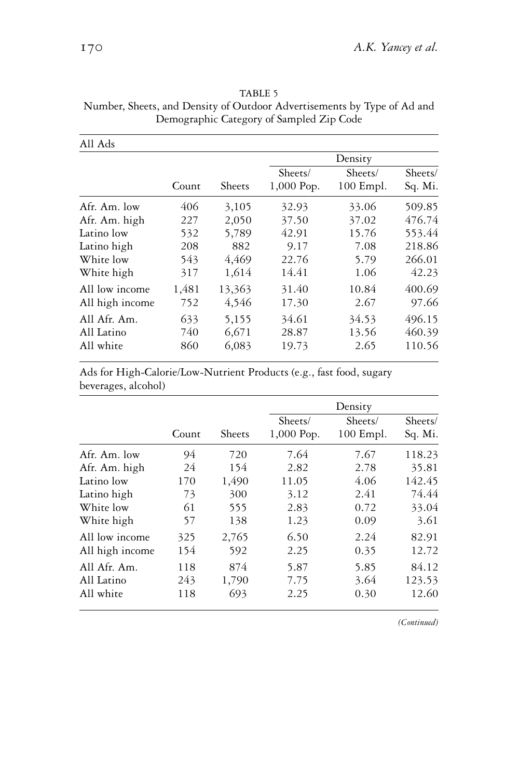| All Ads                           |              |                 |                       |                        |                    |
|-----------------------------------|--------------|-----------------|-----------------------|------------------------|--------------------|
|                                   |              |                 |                       | Density                |                    |
|                                   | Count        | Sheets          | Sheets/<br>1,000 Pop. | Sheets/<br>$100$ Empl. | Sheets/<br>Sq. Mi. |
| Afr. Am. low                      | 406          | 3,105           | 32.93                 | 33.06                  | 509.85             |
| Afr. Am. high                     | 227          | 2,050           | 37.50                 | 37.02                  | 476.74             |
| Latino low                        | 532          | 5,789           | 42.91                 | 15.76                  | 553.44             |
| Latino high                       | 208          | 882             | 9.17                  | 7.08                   | 218.86             |
| White low                         | 543          | 4,469           | 22.76                 | 5.79                   | 266.01             |
| White high                        | 317          | 1,614           | 14.41                 | 1.06                   | 42.23              |
| All low income<br>All high income | 1,481<br>752 | 13,363<br>4,546 | 31.40<br>17.30        | 10.84<br>2.67          | 400.69<br>97.66    |
| All Afr. Am.<br>All Latino        | 633<br>740   | 5,155<br>6,671  | 34.61<br>28.87        | 34.53<br>13.56         | 496.15<br>460.39   |
| All white                         | 860          | 6,083           | 19.73                 | 2.65                   | 110.56             |

TABLE 5 Number, Sheets, and Density of Outdoor Advertisements by Type of Ad and Demographic Category of Sampled Zip Code

Ads for High-Calorie/Low-Nutrient Products (e.g., fast food, sugary beverages, alcohol)

|                 |       |        |                       | Density                |                    |
|-----------------|-------|--------|-----------------------|------------------------|--------------------|
|                 | Count | Sheets | Sheets/<br>1,000 Pop. | Sheets/<br>$100$ Empl. | Sheets/<br>Sq. Mi. |
| Afr. Am. low    | 94    | 720    | 7.64                  | 7.67                   | 118.23             |
| Afr. Am. high   | 24    | 154    | 2.82                  | 2.78                   | 35.81              |
| Latino low      | 170   | 1,490  | 11.05                 | 4.06                   | 142.45             |
| Latino high     | 73    | 300    | 3.12                  | 2.41                   | 74.44              |
| White low       | 61    | 555    | 2.83                  | 0.72                   | 33.04              |
| White high      | 57    | 138    | 1.23                  | 0.09                   | 3.61               |
| All low income  | 325   | 2,765  | 6.50                  | 2.24                   | 82.91              |
| All high income | 154   | 592    | 2.25                  | 0.35                   | 12.72              |
| All Afr. Am.    | 118   | 874    | 5.87                  | 5.85                   | 84.12              |
| All Latino      | 243   | 1,790  | 7.75                  | 3.64                   | 123.53             |
| All white       | 118   | 693    | 2.25                  | 0.30                   | 12.60              |

*(Continued)*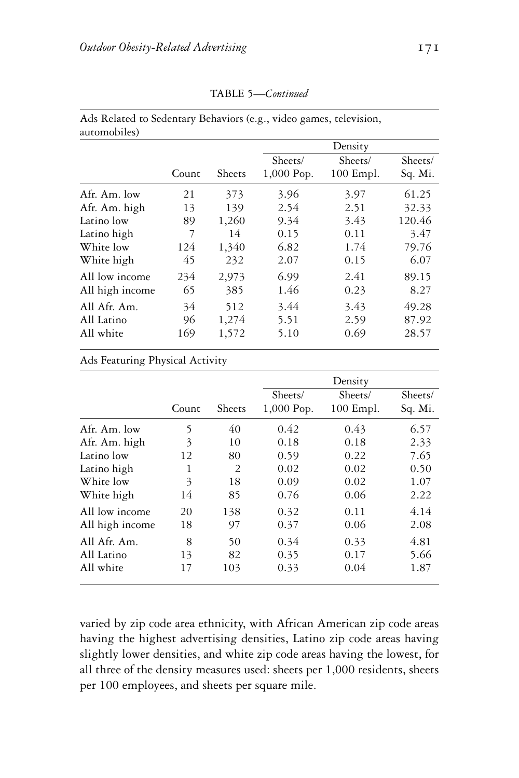| automobiles)    |       |        |            |             |         |
|-----------------|-------|--------|------------|-------------|---------|
|                 |       |        |            | Density     |         |
|                 |       |        | Sheets/    | Sheets/     | Sheets/ |
|                 | Count | Sheets | 1,000 Pop. | $100$ Empl. | Sq. Mi. |
| Afr. Am. low    | 21    | 373    | 3.96       | 3.97        | 61.25   |
| Afr. Am. high   | 13    | 139    | 2.54       | 2.51        | 32.33   |
| Latino low      | 89    | 1,260  | 9.34       | 3.43        | 120.46  |
| Latino high     | 7     | 14     | 0.15       | 0.11        | 3.47    |
| White low       | 124   | 1,340  | 6.82       | 1.74        | 79.76   |
| White high      | 45    | 232    | 2.07       | 0.15        | 6.07    |
| All low income  | 234   | 2,973  | 6.99       | 2.41        | 89.15   |
| All high income | 65    | 385    | 1.46       | 0.23        | 8.27    |
| All Afr. Am.    | 34    | 512    | 3.44       | 3.43        | 49.28   |
| All Latino      | 96    | 1,274  | 5.51       | 2.59        | 87.92   |
| All white       | 169   | 1,572  | 5.10       | 0.69        | 28.57   |

TABLE 5—*Continued*

Ads Related to Sedentary Behaviors (e.g., video games, television, automobiles)

#### Ads Featuring Physical Activity

|                 |       |        |            | Density     |         |
|-----------------|-------|--------|------------|-------------|---------|
|                 |       |        | Sheets/    | Sheets/     | Sheets/ |
|                 | Count | Sheets | 1,000 Pop. | $100$ Empl. | Sq. Mi. |
| Afr. Am. low    | 5     | 40     | 0.42       | 0.43        | 6.57    |
| Afr. Am. high   | 3     | 10     | 0.18       | 0.18        | 2.33    |
| Latino low      | 12    | 80     | 0.59       | 0.22        | 7.65    |
| Latino high     | 1     | 2      | 0.02       | 0.02        | 0.50    |
| White low       | 3     | 18     | 0.09       | 0.02        | 1.07    |
| White high      | 14    | 85     | 0.76       | 0.06        | 2.22    |
| All low income  | 20    | 138    | 0.32       | 0.11        | 4.14    |
| All high income | 18    | 97     | 0.37       | 0.06        | 2.08    |
| All Afr. Am.    | 8     | 50     | 0.34       | 0.33        | 4.81    |
| All Latino      | 13    | 82     | 0.35       | 0.17        | 5.66    |
| All white       | 17    | 103    | 0.33       | 0.04        | 1.87    |

varied by zip code area ethnicity, with African American zip code areas having the highest advertising densities, Latino zip code areas having slightly lower densities, and white zip code areas having the lowest, for all three of the density measures used: sheets per 1,000 residents, sheets per 100 employees, and sheets per square mile.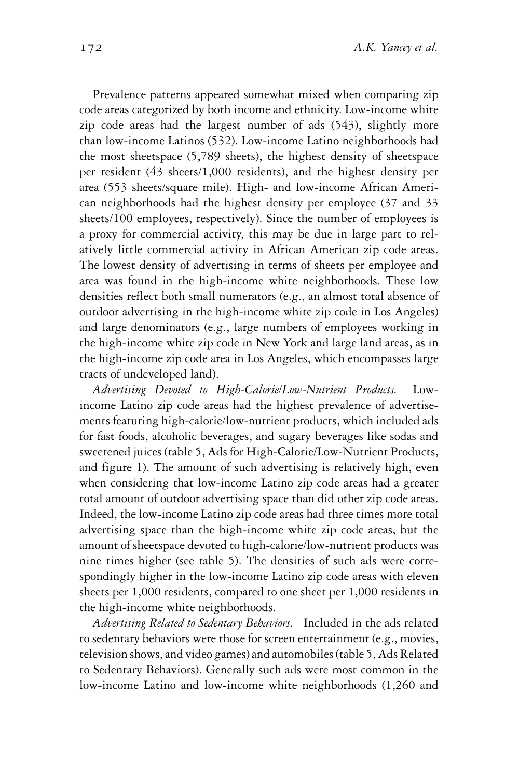Prevalence patterns appeared somewhat mixed when comparing zip code areas categorized by both income and ethnicity. Low-income white zip code areas had the largest number of ads (543), slightly more than low-income Latinos (532). Low-income Latino neighborhoods had the most sheetspace (5,789 sheets), the highest density of sheetspace per resident (43 sheets/1,000 residents), and the highest density per area (553 sheets/square mile). High- and low-income African American neighborhoods had the highest density per employee (37 and 33 sheets/100 employees, respectively). Since the number of employees is a proxy for commercial activity, this may be due in large part to relatively little commercial activity in African American zip code areas. The lowest density of advertising in terms of sheets per employee and area was found in the high-income white neighborhoods. These low densities reflect both small numerators (e.g., an almost total absence of outdoor advertising in the high-income white zip code in Los Angeles) and large denominators (e.g., large numbers of employees working in the high-income white zip code in New York and large land areas, as in the high-income zip code area in Los Angeles, which encompasses large tracts of undeveloped land).

*Advertising Devoted to High-Calorie/Low-Nutrient Products.* Lowincome Latino zip code areas had the highest prevalence of advertisements featuring high-calorie/low-nutrient products, which included ads for fast foods, alcoholic beverages, and sugary beverages like sodas and sweetened juices (table 5, Ads for High-Calorie/Low-Nutrient Products, and figure 1). The amount of such advertising is relatively high, even when considering that low-income Latino zip code areas had a greater total amount of outdoor advertising space than did other zip code areas. Indeed, the low-income Latino zip code areas had three times more total advertising space than the high-income white zip code areas, but the amount of sheetspace devoted to high-calorie/low-nutrient products was nine times higher (see table 5). The densities of such ads were correspondingly higher in the low-income Latino zip code areas with eleven sheets per 1,000 residents, compared to one sheet per 1,000 residents in the high-income white neighborhoods.

*Advertising Related to Sedentary Behaviors.* Included in the ads related to sedentary behaviors were those for screen entertainment (e.g., movies, television shows, and video games) and automobiles (table 5, Ads Related to Sedentary Behaviors). Generally such ads were most common in the low-income Latino and low-income white neighborhoods (1,260 and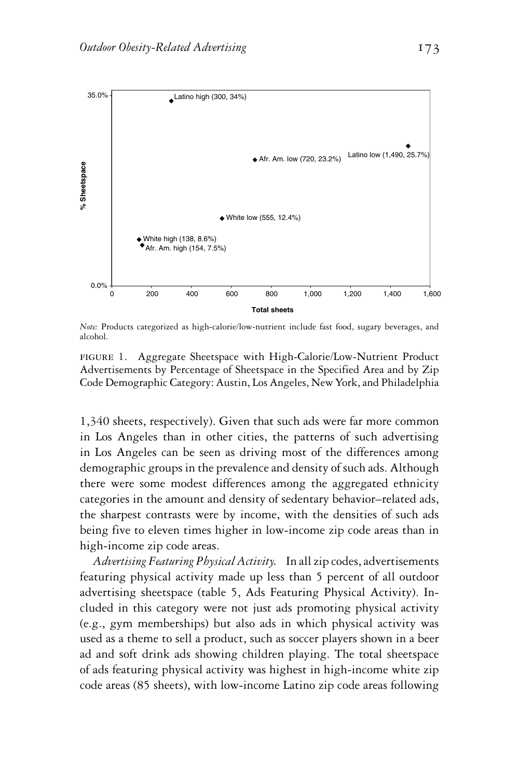

*Note:* Products categorized as high-calorie/low-nutrient include fast food, sugary beverages, and alcohol.

figure 1. Aggregate Sheetspace with High-Calorie/Low-Nutrient Product Advertisements by Percentage of Sheetspace in the Specified Area and by Zip Code Demographic Category: Austin, Los Angeles, New York, and Philadelphia

1,340 sheets, respectively). Given that such ads were far more common in Los Angeles than in other cities, the patterns of such advertising in Los Angeles can be seen as driving most of the differences among demographic groups in the prevalence and density of such ads. Although there were some modest differences among the aggregated ethnicity categories in the amount and density of sedentary behavior–related ads, the sharpest contrasts were by income, with the densities of such ads being five to eleven times higher in low-income zip code areas than in high-income zip code areas.

*Advertising Featuring Physical Activity.* In all zip codes, advertisements featuring physical activity made up less than 5 percent of all outdoor advertising sheetspace (table 5, Ads Featuring Physical Activity). Included in this category were not just ads promoting physical activity (e.g., gym memberships) but also ads in which physical activity was used as a theme to sell a product, such as soccer players shown in a beer ad and soft drink ads showing children playing. The total sheetspace of ads featuring physical activity was highest in high-income white zip code areas (85 sheets), with low-income Latino zip code areas following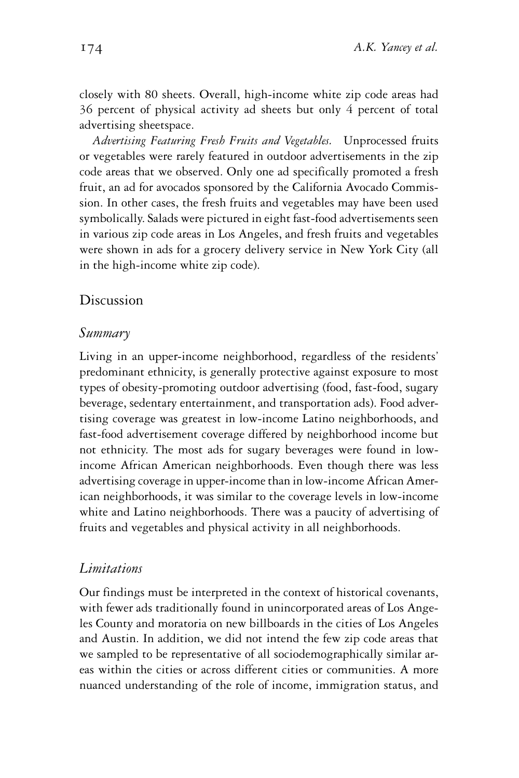closely with 80 sheets. Overall, high-income white zip code areas had 36 percent of physical activity ad sheets but only 4 percent of total advertising sheetspace.

*Advertising Featuring Fresh Fruits and Vegetables.* Unprocessed fruits or vegetables were rarely featured in outdoor advertisements in the zip code areas that we observed. Only one ad specifically promoted a fresh fruit, an ad for avocados sponsored by the California Avocado Commission. In other cases, the fresh fruits and vegetables may have been used symbolically. Salads were pictured in eight fast-food advertisements seen in various zip code areas in Los Angeles, and fresh fruits and vegetables were shown in ads for a grocery delivery service in New York City (all in the high-income white zip code).

## Discussion

#### *Summary*

Living in an upper-income neighborhood, regardless of the residents' predominant ethnicity, is generally protective against exposure to most types of obesity-promoting outdoor advertising (food, fast-food, sugary beverage, sedentary entertainment, and transportation ads). Food advertising coverage was greatest in low-income Latino neighborhoods, and fast-food advertisement coverage differed by neighborhood income but not ethnicity. The most ads for sugary beverages were found in lowincome African American neighborhoods. Even though there was less advertising coverage in upper-income than in low-income African American neighborhoods, it was similar to the coverage levels in low-income white and Latino neighborhoods. There was a paucity of advertising of fruits and vegetables and physical activity in all neighborhoods.

#### *Limitations*

Our findings must be interpreted in the context of historical covenants, with fewer ads traditionally found in unincorporated areas of Los Angeles County and moratoria on new billboards in the cities of Los Angeles and Austin. In addition, we did not intend the few zip code areas that we sampled to be representative of all sociodemographically similar areas within the cities or across different cities or communities. A more nuanced understanding of the role of income, immigration status, and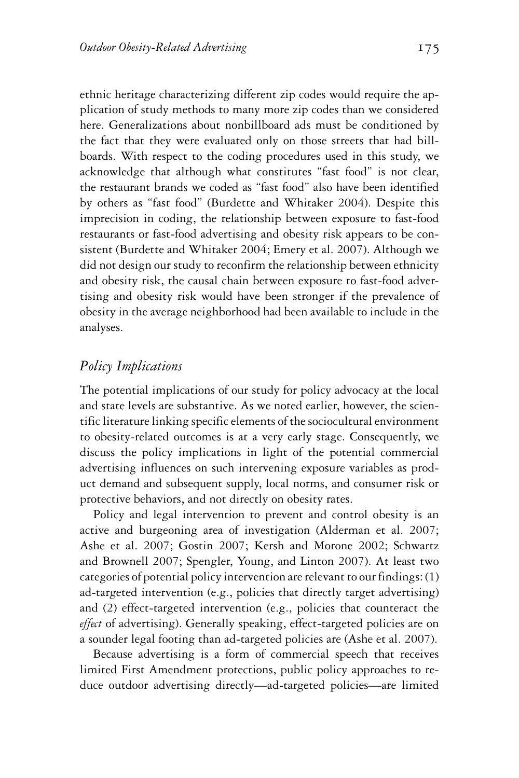ethnic heritage characterizing different zip codes would require the application of study methods to many more zip codes than we considered here. Generalizations about nonbillboard ads must be conditioned by the fact that they were evaluated only on those streets that had billboards. With respect to the coding procedures used in this study, we acknowledge that although what constitutes "fast food" is not clear, the restaurant brands we coded as "fast food" also have been identified by others as "fast food" (Burdette and Whitaker 2004). Despite this imprecision in coding, the relationship between exposure to fast-food restaurants or fast-food advertising and obesity risk appears to be consistent (Burdette and Whitaker 2004; Emery et al. 2007). Although we did not design our study to reconfirm the relationship between ethnicity and obesity risk, the causal chain between exposure to fast-food advertising and obesity risk would have been stronger if the prevalence of obesity in the average neighborhood had been available to include in the analyses.

#### *Policy Implications*

The potential implications of our study for policy advocacy at the local and state levels are substantive. As we noted earlier, however, the scientific literature linking specific elements of the sociocultural environment to obesity-related outcomes is at a very early stage. Consequently, we discuss the policy implications in light of the potential commercial advertising influences on such intervening exposure variables as product demand and subsequent supply, local norms, and consumer risk or protective behaviors, and not directly on obesity rates.

Policy and legal intervention to prevent and control obesity is an active and burgeoning area of investigation (Alderman et al. 2007; Ashe et al. 2007; Gostin 2007; Kersh and Morone 2002; Schwartz and Brownell 2007; Spengler, Young, and Linton 2007). At least two categories of potential policy intervention are relevant to our findings: (1) ad-targeted intervention (e.g., policies that directly target advertising) and (2) effect-targeted intervention (e.g., policies that counteract the *effect* of advertising). Generally speaking, effect-targeted policies are on a sounder legal footing than ad-targeted policies are (Ashe et al. 2007).

Because advertising is a form of commercial speech that receives limited First Amendment protections, public policy approaches to reduce outdoor advertising directly—ad-targeted policies—are limited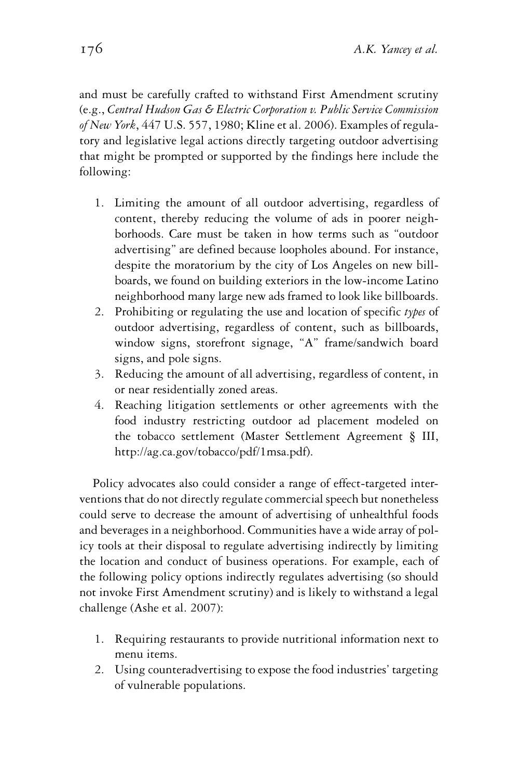and must be carefully crafted to withstand First Amendment scrutiny (e.g., *Central Hudson Gas & Electric Corporation v. Public Service Commission of New York*, 447 U.S. 557, 1980; Kline et al. 2006). Examples of regulatory and legislative legal actions directly targeting outdoor advertising that might be prompted or supported by the findings here include the following:

- 1. Limiting the amount of all outdoor advertising, regardless of content, thereby reducing the volume of ads in poorer neighborhoods. Care must be taken in how terms such as "outdoor advertising" are defined because loopholes abound. For instance, despite the moratorium by the city of Los Angeles on new billboards, we found on building exteriors in the low-income Latino neighborhood many large new ads framed to look like billboards.
- 2. Prohibiting or regulating the use and location of specific *types* of outdoor advertising, regardless of content, such as billboards, window signs, storefront signage, "A" frame/sandwich board signs, and pole signs.
- 3. Reducing the amount of all advertising, regardless of content, in or near residentially zoned areas.
- 4. Reaching litigation settlements or other agreements with the food industry restricting outdoor ad placement modeled on the tobacco settlement (Master Settlement Agreement § III, http://ag.ca.gov/tobacco/pdf/1msa.pdf).

Policy advocates also could consider a range of effect-targeted interventions that do not directly regulate commercial speech but nonetheless could serve to decrease the amount of advertising of unhealthful foods and beverages in a neighborhood. Communities have a wide array of policy tools at their disposal to regulate advertising indirectly by limiting the location and conduct of business operations. For example, each of the following policy options indirectly regulates advertising (so should not invoke First Amendment scrutiny) and is likely to withstand a legal challenge (Ashe et al. 2007):

- 1. Requiring restaurants to provide nutritional information next to menu items.
- 2. Using counteradvertising to expose the food industries' targeting of vulnerable populations.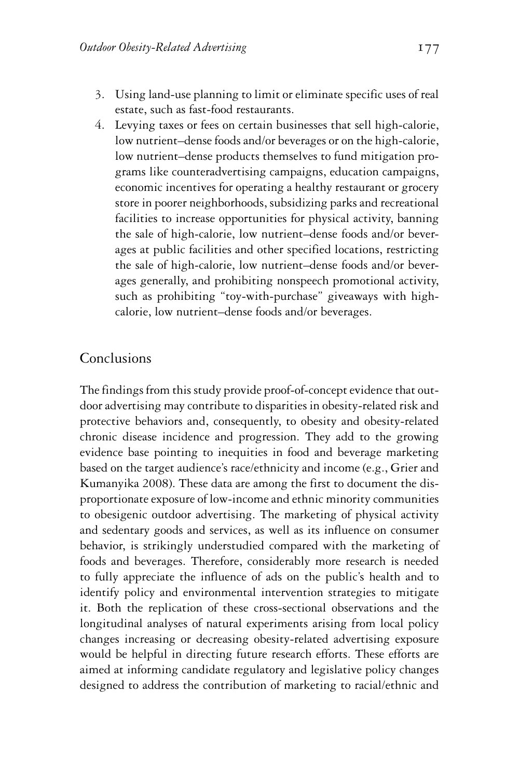- 3. Using land-use planning to limit or eliminate specific uses of real estate, such as fast-food restaurants.
- 4. Levying taxes or fees on certain businesses that sell high-calorie, low nutrient–dense foods and/or beverages or on the high-calorie, low nutrient–dense products themselves to fund mitigation programs like counteradvertising campaigns, education campaigns, economic incentives for operating a healthy restaurant or grocery store in poorer neighborhoods, subsidizing parks and recreational facilities to increase opportunities for physical activity, banning the sale of high-calorie, low nutrient–dense foods and/or beverages at public facilities and other specified locations, restricting the sale of high-calorie, low nutrient–dense foods and/or beverages generally, and prohibiting nonspeech promotional activity, such as prohibiting "toy-with-purchase" giveaways with highcalorie, low nutrient–dense foods and/or beverages.

## **Conclusions**

The findings from this study provide proof-of-concept evidence that outdoor advertising may contribute to disparities in obesity-related risk and protective behaviors and, consequently, to obesity and obesity-related chronic disease incidence and progression. They add to the growing evidence base pointing to inequities in food and beverage marketing based on the target audience's race/ethnicity and income (e.g., Grier and Kumanyika 2008). These data are among the first to document the disproportionate exposure of low-income and ethnic minority communities to obesigenic outdoor advertising. The marketing of physical activity and sedentary goods and services, as well as its influence on consumer behavior, is strikingly understudied compared with the marketing of foods and beverages. Therefore, considerably more research is needed to fully appreciate the influence of ads on the public's health and to identify policy and environmental intervention strategies to mitigate it. Both the replication of these cross-sectional observations and the longitudinal analyses of natural experiments arising from local policy changes increasing or decreasing obesity-related advertising exposure would be helpful in directing future research efforts. These efforts are aimed at informing candidate regulatory and legislative policy changes designed to address the contribution of marketing to racial/ethnic and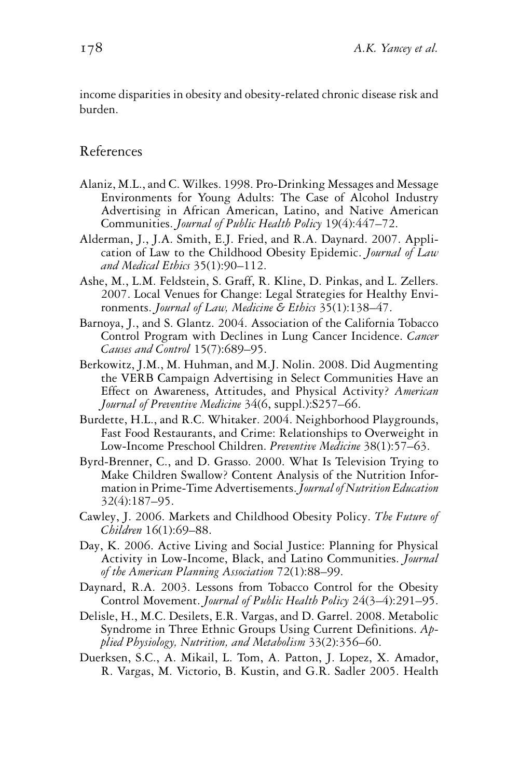income disparities in obesity and obesity-related chronic disease risk and burden.

#### References

- Alaniz, M.L., and C. Wilkes. 1998. Pro-Drinking Messages and Message Environments for Young Adults: The Case of Alcohol Industry Advertising in African American, Latino, and Native American Communities. *Journal of Public Health Policy* 19(4):447–72.
- Alderman, J., J.A. Smith, E.J. Fried, and R.A. Daynard. 2007. Application of Law to the Childhood Obesity Epidemic. *Journal of Law and Medical Ethics* 35(1):90–112.
- Ashe, M., L.M. Feldstein, S. Graff, R. Kline, D. Pinkas, and L. Zellers. 2007. Local Venues for Change: Legal Strategies for Healthy Environments. *Journal of Law, Medicine & Ethics* 35(1):138–47.
- Barnoya, J., and S. Glantz. 2004. Association of the California Tobacco Control Program with Declines in Lung Cancer Incidence. *Cancer Causes and Control* 15(7):689–95.
- Berkowitz, J.M., M. Huhman, and M.J. Nolin. 2008. Did Augmenting the VERB Campaign Advertising in Select Communities Have an Effect on Awareness, Attitudes, and Physical Activity? *American Journal of Preventive Medicine* 34(6, suppl.):S257–66.
- Burdette, H.L., and R.C. Whitaker. 2004. Neighborhood Playgrounds, Fast Food Restaurants, and Crime: Relationships to Overweight in Low-Income Preschool Children. *Preventive Medicine* 38(1):57–63.
- Byrd-Brenner, C., and D. Grasso. 2000. What Is Television Trying to Make Children Swallow? Content Analysis of the Nutrition Information in Prime-Time Advertisements.*Journal of Nutrition Education* 32(4):187–95.
- Cawley, J. 2006. Markets and Childhood Obesity Policy. *The Future of Children* 16(1):69–88.
- Day, K. 2006. Active Living and Social Justice: Planning for Physical Activity in Low-Income, Black, and Latino Communities. *Journal of the American Planning Association* 72(1):88–99.
- Daynard, R.A. 2003. Lessons from Tobacco Control for the Obesity Control Movement. *Journal of Public Health Policy* 24(3–4):291–95.
- Delisle, H., M.C. Desilets, E.R. Vargas, and D. Garrel. 2008. Metabolic Syndrome in Three Ethnic Groups Using Current Definitions. *Applied Physiology, Nutrition, and Metabolism* 33(2):356–60.
- Duerksen, S.C., A. Mikail, L. Tom, A. Patton, J. Lopez, X. Amador, R. Vargas, M. Victorio, B. Kustin, and G.R. Sadler 2005. Health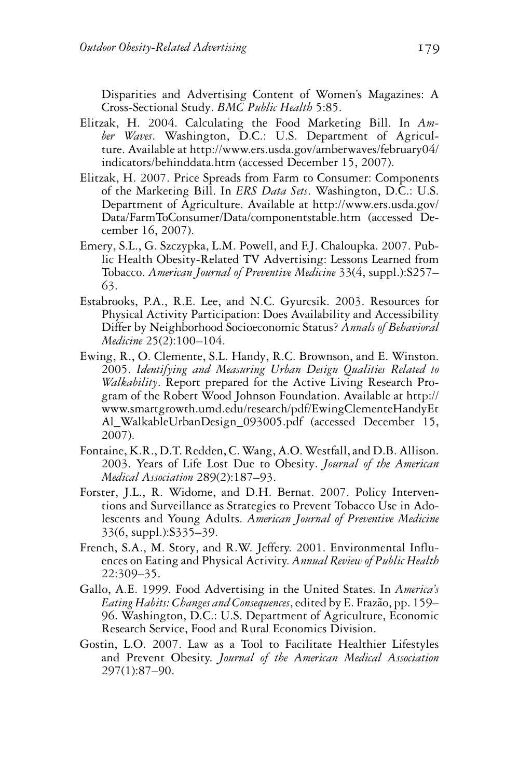Disparities and Advertising Content of Women's Magazines: A Cross-Sectional Study. *BMC Public Health* 5:85.

- Elitzak, H. 2004. Calculating the Food Marketing Bill. In *Amber Waves*. Washington, D.C.: U.S. Department of Agriculture. Available at http://www.ers.usda.gov/amberwaves/february04/ indicators/behinddata.htm (accessed December 15, 2007).
- Elitzak, H. 2007. Price Spreads from Farm to Consumer: Components of the Marketing Bill. In *ERS Data Sets*. Washington, D.C.: U.S. Department of Agriculture. Available at http://www.ers.usda.gov/ Data/FarmToConsumer/Data/componentstable.htm (accessed December 16, 2007).
- Emery, S.L., G. Szczypka, L.M. Powell, and F.J. Chaloupka. 2007. Public Health Obesity-Related TV Advertising: Lessons Learned from Tobacco. *American Journal of Preventive Medicine* 33(4, suppl.):S257– 63.
- Estabrooks, P.A., R.E. Lee, and N.C. Gyurcsik. 2003. Resources for Physical Activity Participation: Does Availability and Accessibility Differ by Neighborhood Socioeconomic Status? *Annals of Behavioral Medicine* 25(2):100–104.
- Ewing, R., O. Clemente, S.L. Handy, R.C. Brownson, and E. Winston. 2005. *Identifying and Measuring Urban Design Qualities Related to Walkability*. Report prepared for the Active Living Research Program of the Robert Wood Johnson Foundation. Available at http:// www.smartgrowth.umd.edu/research/pdf/EwingClementeHandyEt Al\_WalkableUrbanDesign\_093005.pdf (accessed December 15, 2007).
- Fontaine, K.R., D.T. Redden, C.Wang, A.O.Westfall, and D.B. Allison. 2003. Years of Life Lost Due to Obesity. *Journal of the American Medical Association* 289(2):187–93.
- Forster, J.L., R. Widome, and D.H. Bernat. 2007. Policy Interventions and Surveillance as Strategies to Prevent Tobacco Use in Adolescents and Young Adults. *American Journal of Preventive Medicine* 33(6, suppl.):S335–39.
- French, S.A., M. Story, and R.W. Jeffery. 2001. Environmental Influences on Eating and Physical Activity. *Annual Review of Public Health* 22:309–35.
- Gallo, A.E. 1999. Food Advertising in the United States. In *America's Eating Habits: Changes and Consequences*, edited by E. Frazão, pp. 159– 96. Washington, D.C.: U.S. Department of Agriculture, Economic Research Service, Food and Rural Economics Division.
- Gostin, L.O. 2007. Law as a Tool to Facilitate Healthier Lifestyles and Prevent Obesity. *Journal of the American Medical Association* 297(1):87–90.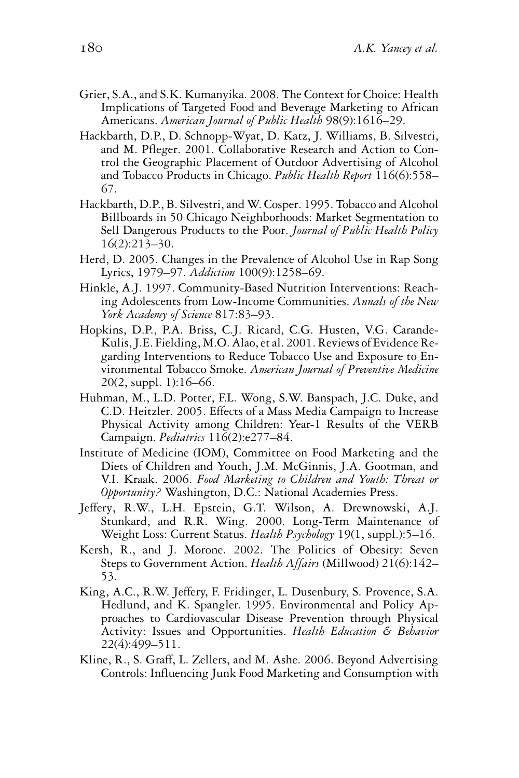- Grier, S.A., and S.K. Kumanyika. 2008. The Context for Choice: Health Implications of Targeted Food and Beverage Marketing to African Americans. *American Journal of Public Health* 98(9):1616–29.
- Hackbarth, D.P., D. Schnopp-Wyat, D. Katz, J. Williams, B. Silvestri, and M. Pfleger. 2001. Collaborative Research and Action to Control the Geographic Placement of Outdoor Advertising of Alcohol and Tobacco Products in Chicago. *Public Health Report* 116(6):558– 67.
- Hackbarth, D.P., B. Silvestri, and W. Cosper. 1995. Tobacco and Alcohol Billboards in 50 Chicago Neighborhoods: Market Segmentation to Sell Dangerous Products to the Poor. *Journal of Public Health Policy* 16(2):213–30.
- Herd, D. 2005. Changes in the Prevalence of Alcohol Use in Rap Song Lyrics, 1979–97. *Addiction* 100(9):1258–69.
- Hinkle, A.J. 1997. Community-Based Nutrition Interventions: Reaching Adolescents from Low-Income Communities. *Annals of the New York Academy of Science* 817:83–93.
- Hopkins, D.P., P.A. Briss, C.J. Ricard, C.G. Husten, V.G. Carande-Kulis, J.E. Fielding, M.O. Alao, et al. 2001. Reviews of Evidence Regarding Interventions to Reduce Tobacco Use and Exposure to Environmental Tobacco Smoke. *American Journal of Preventive Medicine* 20(2, suppl. 1):16–66.
- Huhman, M., L.D. Potter, F.L. Wong, S.W. Banspach, J.C. Duke, and C.D. Heitzler. 2005. Effects of a Mass Media Campaign to Increase Physical Activity among Children: Year-1 Results of the VERB Campaign. *Pediatrics* 116(2):e277–84.
- Institute of Medicine (IOM), Committee on Food Marketing and the Diets of Children and Youth, J.M. McGinnis, J.A. Gootman, and V.I. Kraak. 2006. *Food Marketing to Children and Youth: Threat or Opportunity?* Washington, D.C.: National Academies Press.
- Jeffery, R.W., L.H. Epstein, G.T. Wilson, A. Drewnowski, A.J. Stunkard, and R.R. Wing. 2000. Long-Term Maintenance of Weight Loss: Current Status. *Health Psychology* 19(1, suppl.):5–16.
- Kersh, R., and J. Morone. 2002. The Politics of Obesity: Seven Steps to Government Action. *Health Affairs* (Millwood) 21(6):142– 53.
- King, A.C., R.W. Jeffery, F. Fridinger, L. Dusenbury, S. Provence, S.A. Hedlund, and K. Spangler. 1995. Environmental and Policy Approaches to Cardiovascular Disease Prevention through Physical Activity: Issues and Opportunities. *Health Education & Behavior* 22(4):499–511.
- Kline, R., S. Graff, L. Zellers, and M. Ashe. 2006. Beyond Advertising Controls: Influencing Junk Food Marketing and Consumption with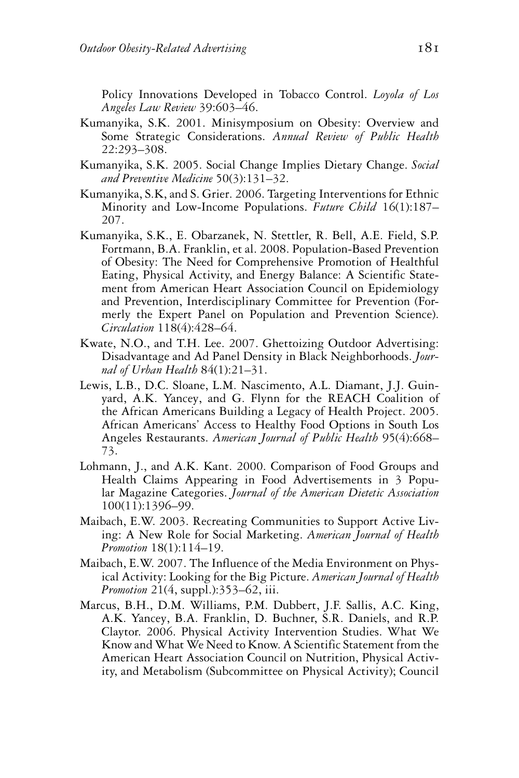Policy Innovations Developed in Tobacco Control. *Loyola of Los Angeles Law Review* 39:603–46.

- Kumanyika, S.K. 2001. Minisymposium on Obesity: Overview and Some Strategic Considerations. *Annual Review of Public Health* 22:293–308.
- Kumanyika, S.K. 2005. Social Change Implies Dietary Change. *Social and Preventive Medicine* 50(3):131–32.
- Kumanyika, S.K, and S. Grier. 2006. Targeting Interventions for Ethnic Minority and Low-Income Populations. *Future Child* 16(1):187– 207.
- Kumanyika, S.K., E. Obarzanek, N. Stettler, R. Bell, A.E. Field, S.P. Fortmann, B.A. Franklin, et al. 2008. Population-Based Prevention of Obesity: The Need for Comprehensive Promotion of Healthful Eating, Physical Activity, and Energy Balance: A Scientific Statement from American Heart Association Council on Epidemiology and Prevention, Interdisciplinary Committee for Prevention (Formerly the Expert Panel on Population and Prevention Science). *Circulation* 118(4):428–64.
- Kwate, N.O., and T.H. Lee. 2007. Ghettoizing Outdoor Advertising: Disadvantage and Ad Panel Density in Black Neighborhoods. *Journal of Urban Health* 84(1):21–31.
- Lewis, L.B., D.C. Sloane, L.M. Nascimento, A.L. Diamant, J.J. Guinyard, A.K. Yancey, and G. Flynn for the REACH Coalition of the African Americans Building a Legacy of Health Project. 2005. African Americans' Access to Healthy Food Options in South Los Angeles Restaurants. *American Journal of Public Health* 95(4):668– 73.
- Lohmann, J., and A.K. Kant. 2000. Comparison of Food Groups and Health Claims Appearing in Food Advertisements in 3 Popular Magazine Categories. *Journal of the American Dietetic Association* 100(11):1396–99.
- Maibach, E.W. 2003. Recreating Communities to Support Active Living: A New Role for Social Marketing. *American Journal of Health Promotion* 18(1):114–19.
- Maibach, E.W. 2007. The Influence of the Media Environment on Physical Activity: Looking for the Big Picture. *American Journal of Health Promotion* 21(4, suppl.):353–62, iii.
- Marcus, B.H., D.M. Williams, P.M. Dubbert, J.F. Sallis, A.C. King, A.K. Yancey, B.A. Franklin, D. Buchner, S.R. Daniels, and R.P. Claytor. 2006. Physical Activity Intervention Studies. What We Know and What We Need to Know. A Scientific Statement from the American Heart Association Council on Nutrition, Physical Activity, and Metabolism (Subcommittee on Physical Activity); Council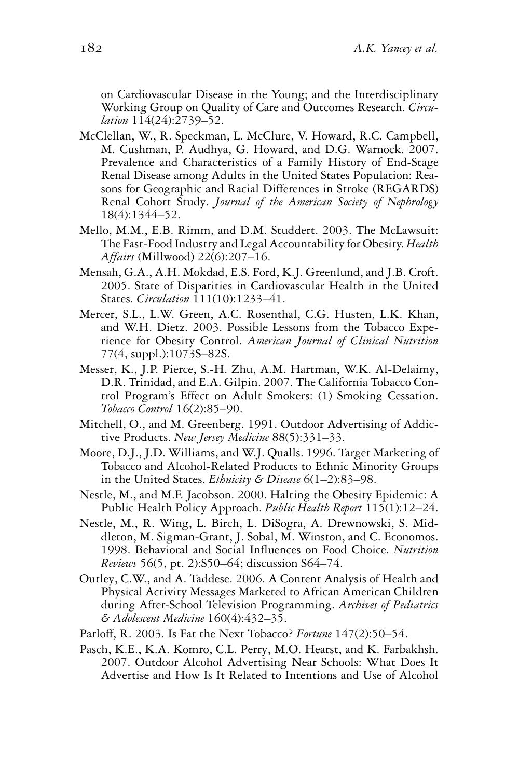on Cardiovascular Disease in the Young; and the Interdisciplinary Working Group on Quality of Care and Outcomes Research. *Circulation* 114(24):2739–52.

- McClellan, W., R. Speckman, L. McClure, V. Howard, R.C. Campbell, M. Cushman, P. Audhya, G. Howard, and D.G. Warnock. 2007. Prevalence and Characteristics of a Family History of End-Stage Renal Disease among Adults in the United States Population: Reasons for Geographic and Racial Differences in Stroke (REGARDS) Renal Cohort Study. *Journal of the American Society of Nephrology* 18(4):1344–52.
- Mello, M.M., E.B. Rimm, and D.M. Studdert. 2003. The McLawsuit: The Fast-Food Industry and Legal Accountability for Obesity. *Health Affairs* (Millwood) 22(6):207–16.
- Mensah, G.A., A.H. Mokdad, E.S. Ford, K.J. Greenlund, and J.B. Croft. 2005. State of Disparities in Cardiovascular Health in the United States. *Circulation* 111(10):1233–41.
- Mercer, S.L., L.W. Green, A.C. Rosenthal, C.G. Husten, L.K. Khan, and W.H. Dietz. 2003. Possible Lessons from the Tobacco Experience for Obesity Control. *American Journal of Clinical Nutrition* 77(4, suppl.):1073S–82S.
- Messer, K., J.P. Pierce, S.-H. Zhu, A.M. Hartman, W.K. Al-Delaimy, D.R. Trinidad, and E.A. Gilpin. 2007. The California Tobacco Control Program's Effect on Adult Smokers: (1) Smoking Cessation. *Tobacco Control* 16(2):85–90.
- Mitchell, O., and M. Greenberg. 1991. Outdoor Advertising of Addictive Products. *New Jersey Medicine* 88(5):331–33.
- Moore, D.J., J.D. Williams, and W.J. Qualls. 1996. Target Marketing of Tobacco and Alcohol-Related Products to Ethnic Minority Groups in the United States. *Ethnicity & Disease* 6(1–2):83–98.
- Nestle, M., and M.F. Jacobson. 2000. Halting the Obesity Epidemic: A Public Health Policy Approach. *Public Health Report* 115(1):12–24.
- Nestle, M., R. Wing, L. Birch, L. DiSogra, A. Drewnowski, S. Middleton, M. Sigman-Grant, J. Sobal, M. Winston, and C. Economos. 1998. Behavioral and Social Influences on Food Choice. *Nutrition Reviews* 56(5, pt. 2):S50–64; discussion S64–74.
- Outley, C.W., and A. Taddese. 2006. A Content Analysis of Health and Physical Activity Messages Marketed to African American Children during After-School Television Programming. *Archives of Pediatrics & Adolescent Medicine* 160(4):432–35.
- Parloff, R. 2003. Is Fat the Next Tobacco? *Fortune* 147(2):50–54.
- Pasch, K.E., K.A. Komro, C.L. Perry, M.O. Hearst, and K. Farbakhsh. 2007. Outdoor Alcohol Advertising Near Schools: What Does It Advertise and How Is It Related to Intentions and Use of Alcohol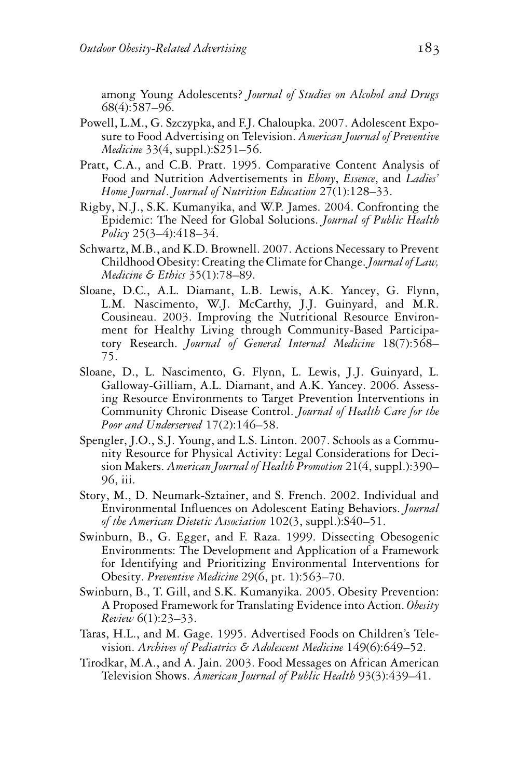among Young Adolescents? *Journal of Studies on Alcohol and Drugs* 68(4):587–96.

- Powell, L.M., G. Szczypka, and F.J. Chaloupka. 2007. Adolescent Exposure to Food Advertising on Television. *American Journal of Preventive Medicine* 33(4, suppl.):S251–56.
- Pratt, C.A., and C.B. Pratt. 1995. Comparative Content Analysis of Food and Nutrition Advertisements in *Ebony*, *Essence*, and *Ladies' Home Journal*. *Journal of Nutrition Education* 27(1):128–33.
- Rigby, N.J., S.K. Kumanyika, and W.P. James. 2004. Confronting the Epidemic: The Need for Global Solutions. *Journal of Public Health Policy* 25(3–4):418–34.
- Schwartz, M.B., and K.D. Brownell. 2007. Actions Necessary to Prevent Childhood Obesity: Creating the Climate for Change.*Journal of Law, Medicine & Ethics* 35(1):78–89.
- Sloane, D.C., A.L. Diamant, L.B. Lewis, A.K. Yancey, G. Flynn, L.M. Nascimento, W.J. McCarthy, J.J. Guinyard, and M.R. Cousineau. 2003. Improving the Nutritional Resource Environment for Healthy Living through Community-Based Participatory Research. *Journal of General Internal Medicine* 18(7):568– 75.
- Sloane, D., L. Nascimento, G. Flynn, L. Lewis, J.J. Guinyard, L. Galloway-Gilliam, A.L. Diamant, and A.K. Yancey. 2006. Assessing Resource Environments to Target Prevention Interventions in Community Chronic Disease Control. *Journal of Health Care for the Poor and Underserved* 17(2):146–58.
- Spengler, J.O., S.J. Young, and L.S. Linton. 2007. Schools as a Community Resource for Physical Activity: Legal Considerations for Decision Makers. *American Journal of Health Promotion* 21(4, suppl.):390– 96, iii.
- Story, M., D. Neumark-Sztainer, and S. French. 2002. Individual and Environmental Influences on Adolescent Eating Behaviors. *Journal of the American Dietetic Association* 102(3, suppl.):S40–51.
- Swinburn, B., G. Egger, and F. Raza. 1999. Dissecting Obesogenic Environments: The Development and Application of a Framework for Identifying and Prioritizing Environmental Interventions for Obesity. *Preventive Medicine* 29(6, pt. 1):563–70.
- Swinburn, B., T. Gill, and S.K. Kumanyika. 2005. Obesity Prevention: A Proposed Framework for Translating Evidence into Action. *Obesity Review* 6(1):23–33.
- Taras, H.L., and M. Gage. 1995. Advertised Foods on Children's Television. *Archives of Pediatrics & Adolescent Medicine* 149(6):649–52.
- Tirodkar, M.A., and A. Jain. 2003. Food Messages on African American Television Shows. *American Journal of Public Health* 93(3):439–41.